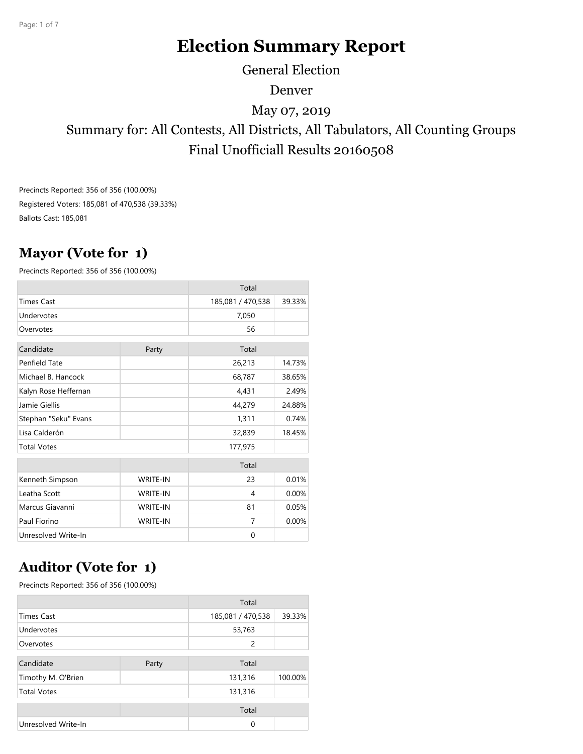# **Election Summary Report**

General Election

Denver

May 07, 2019

Summary for: All Contests, All Districts, All Tabulators, All Counting Groups Final Unofficiall Results 20160508

Precincts Reported: 356 of 356 (100.00%) Registered Voters: 185,081 of 470,538 (39.33%) Ballots Cast: 185,081

### **Mayor (Vote for 1)**

Precincts Reported: 356 of 356 (100.00%)

|                      |                 | Total             |        |
|----------------------|-----------------|-------------------|--------|
| <b>Times Cast</b>    |                 | 185,081 / 470,538 | 39.33% |
| Undervotes           |                 | 7,050             |        |
| Overvotes            |                 | 56                |        |
| Candidate<br>Party   |                 | Total             |        |
| Penfield Tate        |                 | 26,213            | 14.73% |
| Michael B. Hancock   |                 | 68,787            | 38.65% |
| Kalyn Rose Heffernan |                 | 4,431             | 2.49%  |
| Jamie Giellis        |                 | 44,279            | 24.88% |
| Stephan "Seku" Evans |                 | 1,311             | 0.74%  |
| Lisa Calderón        |                 | 32,839            | 18.45% |
| <b>Total Votes</b>   |                 | 177,975           |        |
|                      |                 | Total             |        |
| Kenneth Simpson      | <b>WRITE-IN</b> | 23                | 0.01%  |
| Leatha Scott         | <b>WRITE-IN</b> | 4                 | 0.00%  |
| Marcus Giavanni      | <b>WRITE-IN</b> | 81                | 0.05%  |
| Paul Fiorino         | <b>WRITE-IN</b> | 7                 | 0.00%  |
| Unresolved Write-In  |                 | 0                 |        |

# **Auditor (Vote for 1)**

Precincts Reported: 356 of 356 (100.00%)

|                     |       | Total             |         |
|---------------------|-------|-------------------|---------|
| <b>Times Cast</b>   |       | 185,081 / 470,538 | 39.33%  |
| Undervotes          |       | 53,763            |         |
| Overvotes           |       | 2                 |         |
| Candidate           | Party | Total             |         |
| Timothy M. O'Brien  |       | 131,316           | 100.00% |
| <b>Total Votes</b>  |       | 131,316           |         |
|                     |       | Total             |         |
| Unresolved Write-In |       | $\Omega$          |         |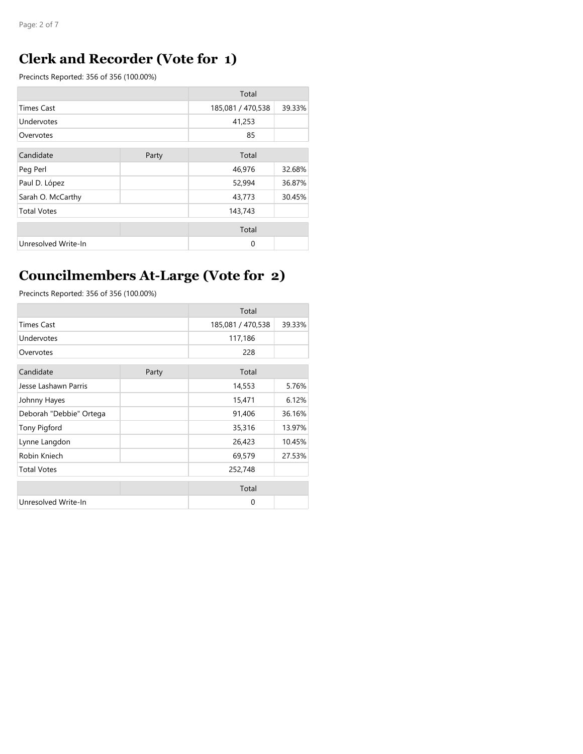### **Clerk and Recorder (Vote for 1)**

Precincts Reported: 356 of 356 (100.00%)

|                     |       | Total             |        |
|---------------------|-------|-------------------|--------|
| <b>Times Cast</b>   |       | 185,081 / 470,538 | 39.33% |
| Undervotes          |       | 41,253            |        |
| Overvotes           |       | 85                |        |
| Candidate           | Party | Total             |        |
| Peg Perl            |       | 46,976            | 32.68% |
| Paul D. López       |       | 52,994            | 36.87% |
| Sarah O. McCarthy   |       | 43,773            | 30.45% |
| <b>Total Votes</b>  |       | 143,743           |        |
|                     |       | Total             |        |
| Unresolved Write-In |       | $\Omega$          |        |

# **Councilmembers At-Large (Vote for 2)**

Precincts Reported: 356 of 356 (100.00%)

|                         |       | Total             |        |
|-------------------------|-------|-------------------|--------|
| <b>Times Cast</b>       |       | 185,081 / 470,538 | 39.33% |
| Undervotes              |       | 117,186           |        |
| Overvotes               |       | 228               |        |
| Candidate               | Party | Total             |        |
| Jesse Lashawn Parris    |       | 14,553            | 5.76%  |
| Johnny Hayes            |       | 15,471            | 6.12%  |
| Deborah "Debbie" Ortega |       | 91,406            | 36.16% |
| <b>Tony Pigford</b>     |       | 35,316            | 13.97% |
| Lynne Langdon           |       | 26,423            | 10.45% |
| Robin Kniech            |       | 69,579            | 27.53% |
| <b>Total Votes</b>      |       | 252,748           |        |
|                         |       | Total             |        |
| Unresolved Write-In     |       | $\Omega$          |        |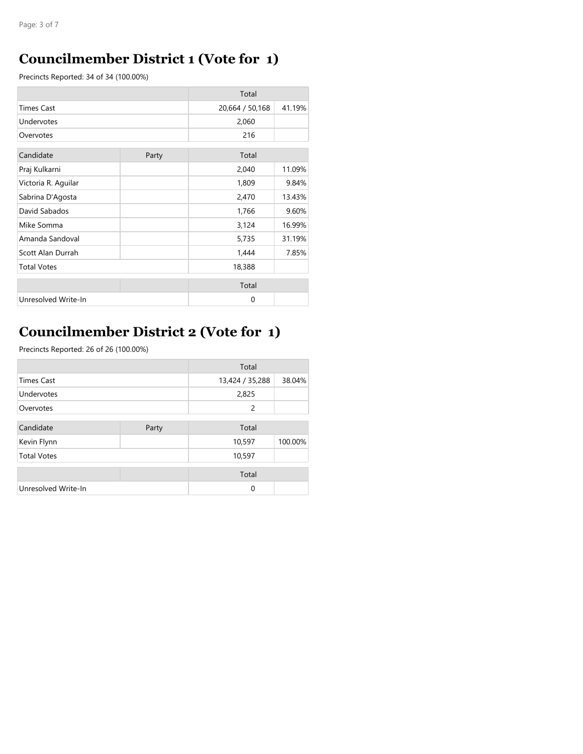### **Councilmember District 1 (Vote for 1)**

Precincts Reported: 34 of 34 (100.00%)

|                     |  | Total           |        |
|---------------------|--|-----------------|--------|
| <b>Times Cast</b>   |  | 20,664 / 50,168 | 41.19% |
| Undervotes          |  | 2,060           |        |
| Overvotes           |  | 216             |        |
| Candidate<br>Party  |  | Total           |        |
| Praj Kulkarni       |  | 2,040           | 11.09% |
| Victoria R. Aquilar |  | 1,809           | 9.84%  |
| Sabrina D'Agosta    |  | 2,470           | 13.43% |
| David Sabados       |  | 1,766           | 9.60%  |
| Mike Somma          |  | 3,124           | 16.99% |
| Amanda Sandoval     |  | 5,735           | 31.19% |
| Scott Alan Durrah   |  | 1,444           | 7.85%  |
| <b>Total Votes</b>  |  | 18,388          |        |
|                     |  | Total           |        |
| Unresolved Write-In |  | $\Omega$        |        |

# **Councilmember District 2 (Vote for 1)**

Precincts Reported: 26 of 26 (100.00%)

|                     |       | Total           |         |
|---------------------|-------|-----------------|---------|
| <b>Times Cast</b>   |       | 13,424 / 35,288 | 38.04%  |
| Undervotes          |       | 2,825           |         |
| Overvotes           |       | 2               |         |
| Candidate           | Party | Total           |         |
| Kevin Flynn         |       | 10,597          | 100.00% |
| <b>Total Votes</b>  |       | 10,597          |         |
|                     |       | Total           |         |
| Unresolved Write-In |       | $\Omega$        |         |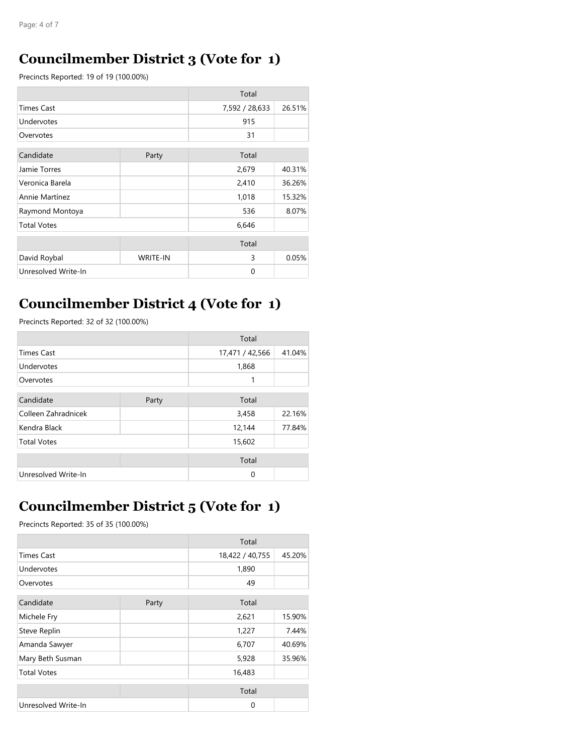#### **Councilmember District 3 (Vote for 1)**

Precincts Reported: 19 of 19 (100.00%)

|                     |                 | Total          |        |
|---------------------|-----------------|----------------|--------|
| <b>Times Cast</b>   |                 | 7,592 / 28,633 | 26.51% |
| Undervotes          |                 | 915            |        |
| Overvotes           |                 | 31             |        |
| Candidate           | Party           | Total          |        |
| Jamie Torres        |                 | 2,679          | 40.31% |
| Veronica Barela     |                 | 2,410          | 36.26% |
| Annie Martínez      |                 | 1,018          | 15.32% |
| Raymond Montoya     |                 | 536            | 8.07%  |
| <b>Total Votes</b>  |                 | 6,646          |        |
|                     |                 | Total          |        |
| David Roybal        | <b>WRITE-IN</b> | 3              | 0.05%  |
| Unresolved Write-In |                 | $\Omega$       |        |

#### **Councilmember District 4 (Vote for 1)**

Precincts Reported: 32 of 32 (100.00%)

|                     |       | Total           |        |
|---------------------|-------|-----------------|--------|
| <b>Times Cast</b>   |       | 17,471 / 42,566 | 41.04% |
| Undervotes          |       | 1,868           |        |
| Overvotes           |       | 1               |        |
| Candidate           | Party | Total           |        |
| Colleen Zahradnicek |       | 3,458           | 22.16% |
| Kendra Black        |       | 12,144          | 77.84% |
| <b>Total Votes</b>  |       | 15,602          |        |
|                     |       | Total           |        |
| Unresolved Write-In |       | $\Omega$        |        |

### **Councilmember District 5 (Vote for 1)**

Precincts Reported: 35 of 35 (100.00%)

|                     |       | Total           |        |
|---------------------|-------|-----------------|--------|
| <b>Times Cast</b>   |       | 18,422 / 40,755 | 45.20% |
| Undervotes          |       | 1,890           |        |
| Overvotes           |       | 49              |        |
| Candidate           | Party | Total           |        |
| Michele Fry         |       | 2,621           | 15.90% |
| Steve Replin        |       | 1,227           | 7.44%  |
| Amanda Sawyer       |       | 6,707           | 40.69% |
| Mary Beth Susman    |       | 5,928           | 35.96% |
| <b>Total Votes</b>  |       | 16,483          |        |
|                     |       | Total           |        |
| Unresolved Write-In |       | $\Omega$        |        |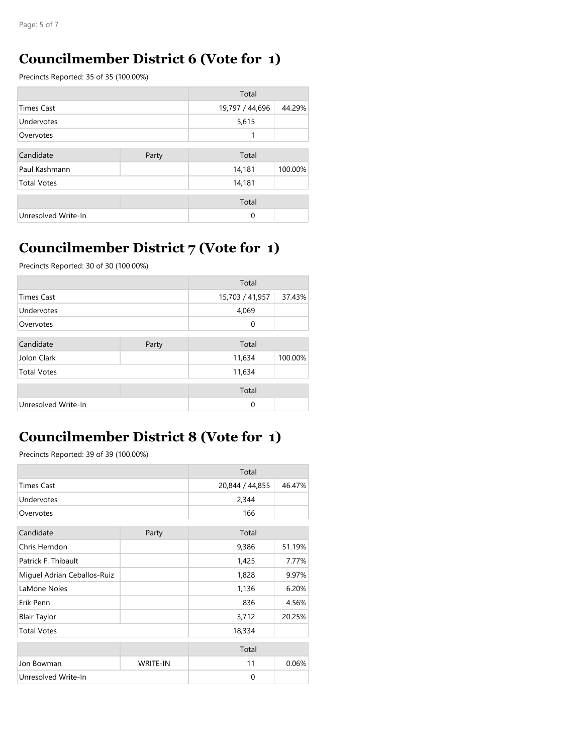#### **Councilmember District 6 (Vote for 1)**

Precincts Reported: 35 of 35 (100.00%)

|                     |       | Total           |         |
|---------------------|-------|-----------------|---------|
| <b>Times Cast</b>   |       | 19,797 / 44,696 | 44.29%  |
| Undervotes          |       | 5,615           |         |
| Overvotes           |       | 1               |         |
| Candidate           |       |                 |         |
|                     | Party | Total           |         |
| Paul Kashmann       |       | 14,181          | 100.00% |
| <b>Total Votes</b>  |       | 14,181          |         |
|                     |       | Total           |         |
| Unresolved Write-In |       | $\mathbf 0$     |         |

# **Councilmember District 7 (Vote for 1)**

Precincts Reported: 30 of 30 (100.00%)

|                     |       | Total           |         |
|---------------------|-------|-----------------|---------|
| <b>Times Cast</b>   |       | 15,703 / 41,957 | 37.43%  |
| Undervotes          |       | 4,069           |         |
| Overvotes           |       | 0               |         |
| Candidate           | Party | Total           |         |
| Jolon Clark         |       | 11,634          | 100.00% |
| <b>Total Votes</b>  |       | 11,634          |         |
|                     |       |                 |         |
|                     |       | Total           |         |
| Unresolved Write-In |       | $\mathbf 0$     |         |

### **Councilmember District 8 (Vote for 1)**

Precincts Reported: 39 of 39 (100.00%)

|                             |                 | Total           |        |
|-----------------------------|-----------------|-----------------|--------|
| <b>Times Cast</b>           |                 | 20,844 / 44,855 | 46.47% |
| Undervotes                  |                 | 2,344           |        |
| Overvotes                   |                 | 166             |        |
| Candidate<br>Party          |                 | Total           |        |
| Chris Herndon               |                 | 9,386           | 51.19% |
| Patrick F. Thibault         |                 | 1,425           | 7.77%  |
| Miguel Adrian Ceballos-Ruiz |                 | 1,828           | 9.97%  |
| LaMone Noles                |                 | 1,136           | 6.20%  |
| Erik Penn                   |                 | 836             | 4.56%  |
| <b>Blair Taylor</b>         |                 | 3,712           | 20.25% |
| <b>Total Votes</b>          |                 | 18,334          |        |
|                             |                 | Total           |        |
| Jon Bowman                  | <b>WRITE-IN</b> | 11              | 0.06%  |
| Unresolved Write-In         |                 | $\Omega$        |        |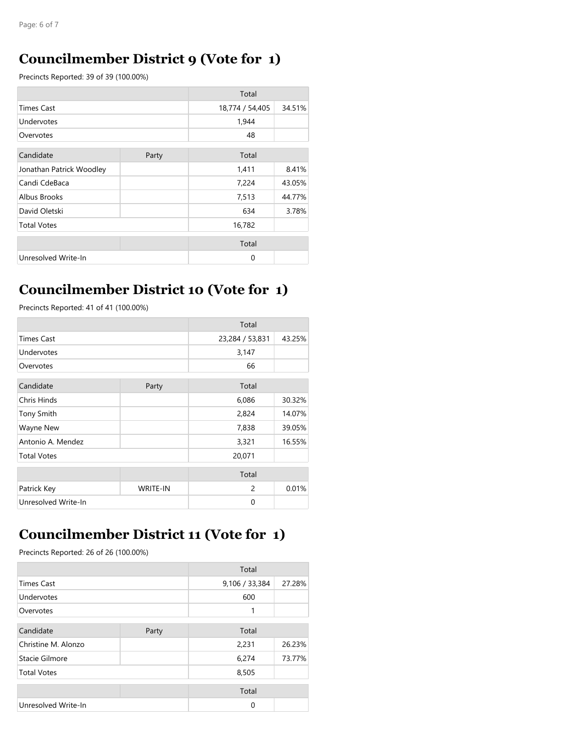#### **Councilmember District 9 (Vote for 1)**

Precincts Reported: 39 of 39 (100.00%)

|                          |       | Total           |        |
|--------------------------|-------|-----------------|--------|
| <b>Times Cast</b>        |       | 18,774 / 54,405 | 34.51% |
| Undervotes               |       | 1,944           |        |
| Overvotes                |       | 48              |        |
| Candidate                | Party | Total           |        |
| Jonathan Patrick Woodley |       | 1,411           | 8.41%  |
| Candi CdeBaca            |       | 7,224           | 43.05% |
| Albus Brooks             |       | 7,513           | 44.77% |
| David Oletski            |       | 634             | 3.78%  |
| <b>Total Votes</b>       |       | 16,782          |        |
|                          |       | Total           |        |
| Unresolved Write-In      |       | $\Omega$        |        |

#### **Councilmember District 10 (Vote for 1)**

Precincts Reported: 41 of 41 (100.00%)

|                     |                 | Total           |        |
|---------------------|-----------------|-----------------|--------|
| <b>Times Cast</b>   |                 | 23,284 / 53,831 | 43.25% |
| Undervotes          |                 | 3,147           |        |
| Overvotes           |                 | 66              |        |
| Candidate           | Party           | Total           |        |
| Chris Hinds         |                 | 6,086           | 30.32% |
| <b>Tony Smith</b>   |                 | 2,824           | 14.07% |
| <b>Wayne New</b>    |                 | 7,838           | 39.05% |
| Antonio A. Mendez   |                 | 3,321           | 16.55% |
| <b>Total Votes</b>  |                 | 20,071          |        |
|                     |                 | Total           |        |
| Patrick Key         | <b>WRITE-IN</b> | $\overline{c}$  | 0.01%  |
| Unresolved Write-In |                 | $\Omega$        |        |

#### **Councilmember District 11 (Vote for 1)**

Precincts Reported: 26 of 26 (100.00%)

|                     |       | Total          |        |
|---------------------|-------|----------------|--------|
| <b>Times Cast</b>   |       | 9,106 / 33,384 | 27.28% |
| Undervotes          |       | 600            |        |
| Overvotes           |       | 1              |        |
| Candidate           | Party | Total          |        |
| Christine M. Alonzo |       | 2,231          | 26.23% |
| Stacie Gilmore      |       | 6,274          | 73.77% |
| <b>Total Votes</b>  |       | 8,505          |        |
|                     |       | Total          |        |
| Unresolved Write-In |       | 0              |        |